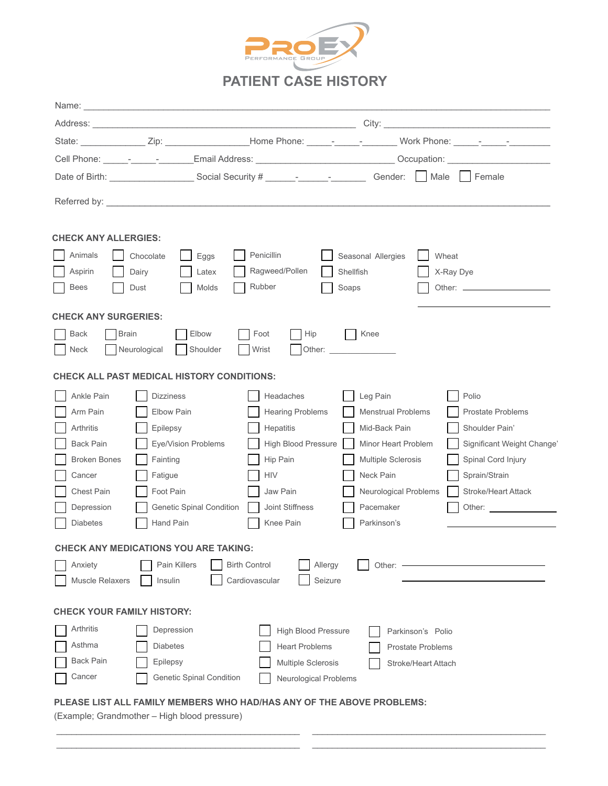

|                                   |                                                                                                                                                                                                                                |                            | State: ________________Zip: ____________________Home Phone: ______- <sub>_</sub> ______-____Work Phone: ______- <sub>_</sub> ____________                                                                                      |                            |
|-----------------------------------|--------------------------------------------------------------------------------------------------------------------------------------------------------------------------------------------------------------------------------|----------------------------|--------------------------------------------------------------------------------------------------------------------------------------------------------------------------------------------------------------------------------|----------------------------|
|                                   |                                                                                                                                                                                                                                |                            | Cell Phone: ______-_______________Email Address: ______________________________Occupation: ___________________                                                                                                                 |                            |
|                                   |                                                                                                                                                                                                                                |                            |                                                                                                                                                                                                                                |                            |
|                                   | Referred by: North Commission and Commission and Commission and Commission and Commission and Commission and Commission and Commission and Commission and Commission and Commission and Commission and Commission and Commissi |                            |                                                                                                                                                                                                                                |                            |
| <b>CHECK ANY ALLERGIES:</b>       |                                                                                                                                                                                                                                |                            |                                                                                                                                                                                                                                |                            |
| Animals                           | Chocolate<br>Eggs                                                                                                                                                                                                              | Penicillin                 | Seasonal Allergies                                                                                                                                                                                                             | Wheat                      |
| Aspirin                           | Dairy<br>Latex                                                                                                                                                                                                                 | Ragweed/Pollen             | <b>Shellfish</b>                                                                                                                                                                                                               | X-Ray Dye                  |
| <b>Bees</b>                       | Dust<br>Molds                                                                                                                                                                                                                  | Rubber                     | Soaps                                                                                                                                                                                                                          |                            |
| <b>CHECK ANY SURGERIES:</b>       |                                                                                                                                                                                                                                |                            |                                                                                                                                                                                                                                |                            |
| <b>Back</b>                       | <b>Brain</b><br>Elbow                                                                                                                                                                                                          | Foot<br>Hip                | Knee                                                                                                                                                                                                                           |                            |
| <b>Neck</b>                       | Shoulder<br>Neurological                                                                                                                                                                                                       | Wrist                      | Other: and the contract of the contract of the contract of the contract of the contract of the contract of the contract of the contract of the contract of the contract of the contract of the contract of the contract of the |                            |
|                                   | <b>CHECK ALL PAST MEDICAL HISTORY CONDITIONS:</b>                                                                                                                                                                              |                            |                                                                                                                                                                                                                                |                            |
| Ankle Pain                        | <b>Dizziness</b>                                                                                                                                                                                                               | Headaches                  | Leg Pain                                                                                                                                                                                                                       | Polio                      |
| Arm Pain                          | Elbow Pain                                                                                                                                                                                                                     | <b>Hearing Problems</b>    | <b>Menstrual Problems</b>                                                                                                                                                                                                      | <b>Prostate Problems</b>   |
| Arthritis                         | Epilepsy                                                                                                                                                                                                                       | Hepatitis                  | Mid-Back Pain                                                                                                                                                                                                                  | Shoulder Pain'             |
| Back Pain                         | Eye/Vision Problems                                                                                                                                                                                                            | High Blood Pressure        | Minor Heart Problem                                                                                                                                                                                                            | Significant Weight Change' |
| <b>Broken Bones</b>               | Fainting                                                                                                                                                                                                                       | Hip Pain                   | <b>Multiple Sclerosis</b>                                                                                                                                                                                                      | Spinal Cord Injury         |
| Cancer                            | Fatigue                                                                                                                                                                                                                        | <b>HIV</b>                 | Neck Pain                                                                                                                                                                                                                      | Sprain/Strain              |
| Chest Pain                        | Foot Pain                                                                                                                                                                                                                      | Jaw Pain                   | Neurological Problems                                                                                                                                                                                                          | Stroke/Heart Attack        |
| Depression                        | <b>Genetic Spinal Condition</b>                                                                                                                                                                                                | Joint Stiffness            | Pacemaker                                                                                                                                                                                                                      | Other:                     |
| <b>Diabetes</b>                   | Hand Pain                                                                                                                                                                                                                      | Knee Pain                  | Parkinson's                                                                                                                                                                                                                    |                            |
|                                   | <b>CHECK ANY MEDICATIONS YOU ARE TAKING:</b>                                                                                                                                                                                   |                            |                                                                                                                                                                                                                                |                            |
| Anxiety                           | Pain Killers                                                                                                                                                                                                                   | <b>Birth Control</b>       | Allergy<br>Other:                                                                                                                                                                                                              |                            |
| Muscle Relaxers                   | Insulin                                                                                                                                                                                                                        | Cardiovascular             | Seizure                                                                                                                                                                                                                        |                            |
|                                   |                                                                                                                                                                                                                                |                            |                                                                                                                                                                                                                                |                            |
| <b>CHECK YOUR FAMILY HISTORY:</b> |                                                                                                                                                                                                                                |                            |                                                                                                                                                                                                                                |                            |
| Arthritis                         | Depression                                                                                                                                                                                                                     | <b>High Blood Pressure</b> | Parkinson's Polio                                                                                                                                                                                                              |                            |
| Asthma                            | <b>Diabetes</b>                                                                                                                                                                                                                | <b>Heart Problems</b>      | <b>Prostate Problems</b>                                                                                                                                                                                                       |                            |
| Back Pain                         | Epilepsy                                                                                                                                                                                                                       | <b>Multiple Sclerosis</b>  | Stroke/Heart Attach                                                                                                                                                                                                            |                            |
| Cancer                            | Genetic Spinal Condition                                                                                                                                                                                                       | Neurological Problems      |                                                                                                                                                                                                                                |                            |
|                                   | PLEASE LIST ALL FAMILY MEMBERS WHO HAD/HAS ANY OF THE ABOVE PROBLEMS:                                                                                                                                                          |                            |                                                                                                                                                                                                                                |                            |

 \_\_\_\_\_\_\_\_\_\_\_\_\_\_\_\_\_\_\_\_\_\_\_\_\_\_\_\_\_\_\_\_\_\_\_\_\_\_\_\_\_\_\_\_\_\_\_\_\_ \_\_\_\_\_\_\_\_\_\_\_\_\_\_\_\_\_\_\_\_\_\_\_\_\_\_\_\_\_\_\_\_\_\_\_\_\_\_\_\_\_\_\_\_\_\_\_ \_\_\_\_\_\_\_\_\_\_\_\_\_\_\_\_\_\_\_\_\_\_\_\_\_\_\_\_\_\_\_\_\_\_\_\_\_\_\_\_\_\_\_\_\_\_\_\_\_ \_\_\_\_\_\_\_\_\_\_\_\_\_\_\_\_\_\_\_\_\_\_\_\_\_\_\_\_\_\_\_\_\_\_\_\_\_\_\_\_\_\_\_\_\_\_\_

(Example; Grandmother – High blood pressure)